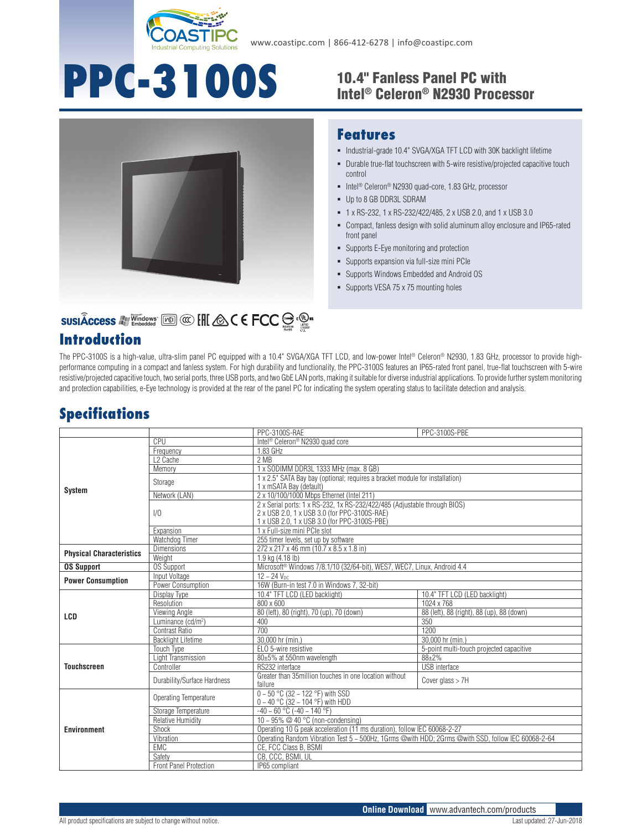

# **PPC-3100S** 10.4" Fanless Panel PC with

## Intel® Celeron® N2930 Processor



#### **Features**

- $\blacksquare$  Industrial-grade 10.4" SVGA/XGA TFT LCD with 30K backlight lifetime
- Durable true-flat touchscreen with 5-wire resistive/projected capacitive touch control
- Intel<sup>®</sup> Celeron<sup>®</sup> N2930 quad-core, 1.83 GHz, processor
- Up to 8 GB DDR3L SDRAM
- 1 x RS-232, 1 x RS-232/422/485, 2 x USB 2.0, and 1 x USB 3.0
- Compact, fanless design with solid aluminum alloy enclosure and IP65-rated front panel
- Supports E-Eye monitoring and protection
- Supports expansion via full-size mini PCIe
- Supports Windows Embedded and Android OS
- **Supports VESA 75 x 75 mounting holes**

### SUSIÂCCESS A Vindows [60] @ [H & C E FCC S . @ .

#### **Introduction**

The PPC-3100S is a high-value, ultra-slim panel PC equipped with a 10.4" SVGA/XGA TFT LCD, and low-power Intel® Celeron® N2930, 1.83 GHz, processor to provide highperformance computing in a compact and fanless system. For high durability and functionality, the PPC-3100S features an IP65-rated front panel, true-flat touchscreen with 5-wire resistive/projected capacitive touch, two serial ports, three USB ports, and two GbE LAN ports, making it suitable for diverse industrial applications. To provide further system monitoring and protection capabilities, e-Eye technology is provided at the rear of the panel PC for indicating the system operating status to facilitate detection and analysis.

#### **Specifications**

|                                 |                                | PPC-3100S-RAE                                                                                                                                                             | PPC-3100S-PBE                             |
|---------------------------------|--------------------------------|---------------------------------------------------------------------------------------------------------------------------------------------------------------------------|-------------------------------------------|
| <b>System</b>                   | CPU                            | Intel <sup>®</sup> Celeron <sup>®</sup> N2930 quad core                                                                                                                   |                                           |
|                                 | Frequency                      | 1.83 GHz                                                                                                                                                                  |                                           |
|                                 | L <sub>2</sub> Cache           | 2MB                                                                                                                                                                       |                                           |
|                                 | Memory                         | 1 x SODIMM DDR3L 1333 MHz (max. 8 GB)                                                                                                                                     |                                           |
|                                 | Storage                        | 1 x 2.5" SATA Bay bay (optional; requires a bracket module for installation)<br>1 x mSATA Bay (default)                                                                   |                                           |
|                                 | Network (LAN)                  | 2 x 10/100/1000 Mbps Ethernet (Intel 211)                                                                                                                                 |                                           |
|                                 | 1/0                            | 2 x Serial ports: 1 x RS-232, 1x RS-232/422/485 (Adjustable through BIOS)<br>2 x USB 2.0, 1 x USB 3.0 (for PPC-3100S-RAE)<br>1 x USB 2.0, 1 x USB 3.0 (for PPC-3100S-PBE) |                                           |
|                                 | Expansion                      | 1 x Full-size mini PCIe slot                                                                                                                                              |                                           |
|                                 | Watchdog Timer                 | 255 timer levels, set up by software                                                                                                                                      |                                           |
| <b>Physical Characteristics</b> | <b>Dimensions</b>              | 272 x 217 x 46 mm (10.7 x 8.5 x 1.8 in)                                                                                                                                   |                                           |
|                                 | Weight                         | 1.9 kg (4.18 lb)                                                                                                                                                          |                                           |
| <b>OS Support</b>               | OS Support                     | Microsoft <sup>®</sup> Windows 7/8.1/10 (32/64-bit), WES7, WEC7, Linux, Android 4.4                                                                                       |                                           |
| <b>Power Consumption</b>        | Input Voltage                  | $12 - 24$ V <sub>DC</sub>                                                                                                                                                 |                                           |
|                                 | Power Consumption              | 16W (Burn-in test 7.0 in Windows 7, 32-bit)                                                                                                                               |                                           |
| LCD                             | Display Type                   | 10.4" TFT LCD (LED backlight)                                                                                                                                             | 10.4" TFT LCD (LED backlight)             |
|                                 | Resolution                     | $800 \times 600$                                                                                                                                                          | 1024 x 768                                |
|                                 | Viewing Angle                  | 80 (left), 80 (right), 70 (up), 70 (down)                                                                                                                                 | 88 (left), 88 (right), 88 (up), 88 (down) |
|                                 | Luminance (cd/m <sup>2</sup> ) | 400                                                                                                                                                                       | 350                                       |
|                                 | <b>Contrast Ratio</b>          | 700                                                                                                                                                                       | 1200                                      |
|                                 | <b>Backlight Lifetime</b>      | 30,000 hr (min.)                                                                                                                                                          | 30,000 hr (min.)                          |
| <b>Touchscreen</b>              | <b>Touch Type</b>              | ELO 5-wire resistive                                                                                                                                                      | 5-point multi-touch projected capacitive  |
|                                 | Light Transmission             | 80±5% at 550nm wavelength                                                                                                                                                 | $88 + 2%$                                 |
|                                 | Controller                     | RS232 interface                                                                                                                                                           | USB interface                             |
|                                 | Durability/Surface Hardness    | Greater than 35 million touches in one location without<br>failure                                                                                                        | Cover glass $> 7H$                        |
| <b>Environment</b>              | Operating Temperature          | $0 - 50$ °C (32 ~ 122 °F) with SSD<br>$0 - 40$ °C (32 ~ 104 °F) with HDD                                                                                                  |                                           |
|                                 | Storage Temperature            | $-40 \sim 60$ °C ( $-40 \sim 140$ °F)                                                                                                                                     |                                           |
|                                 | <b>Relative Humidity</b>       | 10 ~ 95% @ 40 °C (non-condensing)                                                                                                                                         |                                           |
|                                 | Shock                          | Operating 10 G peak acceleration (11 ms duration), follow IEC 60068-2-27                                                                                                  |                                           |
|                                 | Vibration                      | Operating Random Vibration Test 5 ~ 500Hz, 1Grms @with HDD: 2Grms @with SSD, follow IEC 60068-2-64                                                                        |                                           |
|                                 | <b>EMC</b>                     | CE, FCC Class B, BSMI                                                                                                                                                     |                                           |
|                                 | Safety                         | CB, CCC, BSMI, UL                                                                                                                                                         |                                           |
|                                 | <b>Front Panel Protection</b>  | IP65 compliant                                                                                                                                                            |                                           |